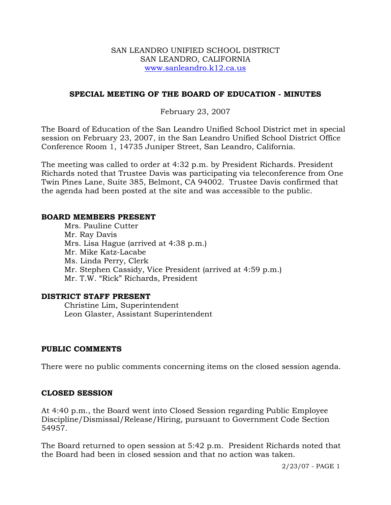#### SAN LEANDRO UNIFIED SCHOOL DISTRICT SAN LEANDRO, CALIFORNIA www.sanleandro.k12.ca.us

## **SPECIAL MEETING OF THE BOARD OF EDUCATION - MINUTES**

# February 23, 2007

The Board of Education of the San Leandro Unified School District met in special session on February 23, 2007, in the San Leandro Unified School District Office Conference Room 1, 14735 Juniper Street, San Leandro, California.

The meeting was called to order at 4:32 p.m. by President Richards. President Richards noted that Trustee Davis was participating via teleconference from One Twin Pines Lane, Suite 385, Belmont, CA 94002. Trustee Davis confirmed that the agenda had been posted at the site and was accessible to the public.

#### **BOARD MEMBERS PRESENT**

Mrs. Pauline Cutter Mr. Ray Davis Mrs. Lisa Hague (arrived at 4:38 p.m.) Mr. Mike Katz-Lacabe Ms. Linda Perry, Clerk Mr. Stephen Cassidy, Vice President (arrived at 4:59 p.m.) Mr. T.W. "Rick" Richards, President

## **DISTRICT STAFF PRESENT**

Christine Lim, Superintendent Leon Glaster, Assistant Superintendent

## **PUBLIC COMMENTS**

There were no public comments concerning items on the closed session agenda.

## **CLOSED SESSION**

At 4:40 p.m., the Board went into Closed Session regarding Public Employee Discipline/Dismissal/Release/Hiring, pursuant to Government Code Section 54957.

The Board returned to open session at 5:42 p.m. President Richards noted that the Board had been in closed session and that no action was taken.

2/23/07 - PAGE 1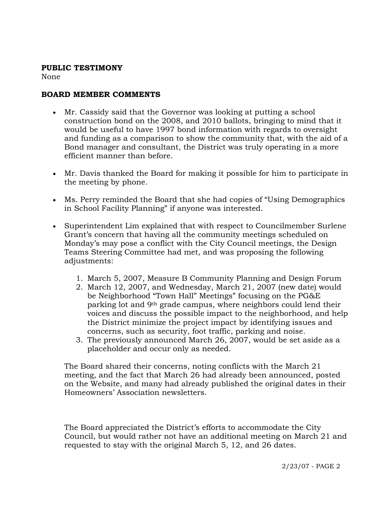#### **PUBLIC TESTIMONY**

None

# **BOARD MEMBER COMMENTS**

- Mr. Cassidy said that the Governor was looking at putting a school construction bond on the 2008, and 2010 ballots, bringing to mind that it would be useful to have 1997 bond information with regards to oversight and funding as a comparison to show the community that, with the aid of a Bond manager and consultant, the District was truly operating in a more efficient manner than before.
- Mr. Davis thanked the Board for making it possible for him to participate in the meeting by phone.
- Ms. Perry reminded the Board that she had copies of "Using Demographics in School Facility Planning" if anyone was interested.
- Superintendent Lim explained that with respect to Councilmember Surlene Grant's concern that having all the community meetings scheduled on Monday's may pose a conflict with the City Council meetings, the Design Teams Steering Committee had met, and was proposing the following adjustments:
	- 1. March 5, 2007, Measure B Community Planning and Design Forum
	- 2. March 12, 2007, and Wednesday, March 21, 2007 (new date) would be Neighborhood "Town Hall" Meetings" focusing on the PG&E parking lot and 9th grade campus, where neighbors could lend their voices and discuss the possible impact to the neighborhood, and help the District minimize the project impact by identifying issues and concerns, such as security, foot traffic, parking and noise.
	- 3. The previously announced March 26, 2007, would be set aside as a placeholder and occur only as needed.

The Board shared their concerns, noting conflicts with the March 21 meeting, and the fact that March 26 had already been announced, posted on the Website, and many had already published the original dates in their Homeowners' Association newsletters.

The Board appreciated the District's efforts to accommodate the City Council, but would rather not have an additional meeting on March 21 and requested to stay with the original March 5, 12, and 26 dates.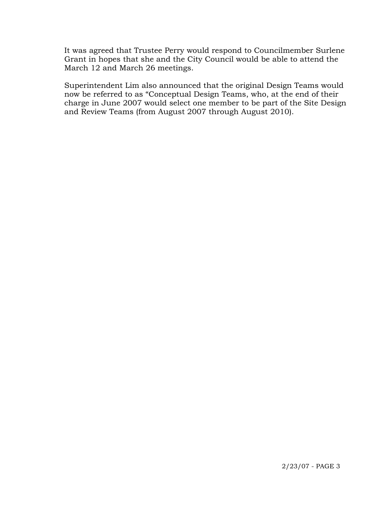It was agreed that Trustee Perry would respond to Councilmember Surlene Grant in hopes that she and the City Council would be able to attend the March 12 and March 26 meetings.

Superintendent Lim also announced that the original Design Teams would now be referred to as "Conceptual Design Teams, who, at the end of their charge in June 2007 would select one member to be part of the Site Design and Review Teams (from August 2007 through August 2010).